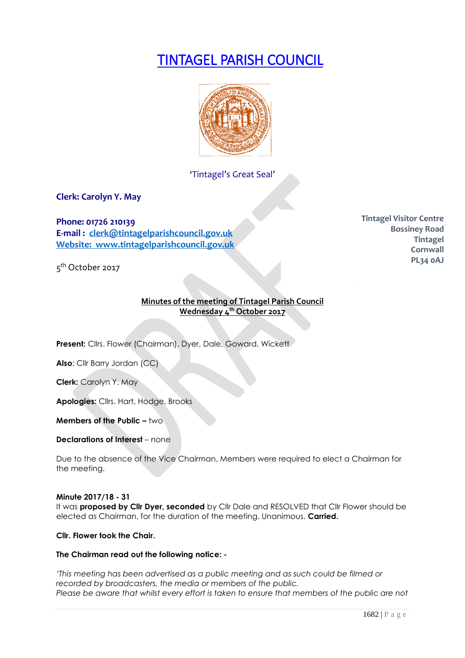# TINTAGEL PARISH COUNCIL



'Tintagel's Great Seal'

**Clerk: Carolyn Y. May**

**Phone: 01726 210139 E-mail : [clerk@tintagelparishcouncil.gov.uk](mailto:clerk@tintagelparishcouncil.gov.uk) Website: www.tintagelparishcouncil.gov.uk**

5<sup>th</sup> October 2017

# **Minutes of the meeting of Tintagel Parish Council Wednesday 4 th October 2017**

**Present:** Cllrs. Flower (Chairman), Dyer, Dale, Goward, Wickett

**Also**: Cllr Barry Jordan (CC)

**Clerk:** Carolyn Y. May

**Apologies:** Cllrs. Hart, Hodge, Brooks

**Members of the Public – two** 

**Declarations of Interest** – none

Due to the absence of the Vice Chairman, Members were required to elect a Chairman for the meeting.

#### **Minute 2017/18 - 31**

It was **proposed by Cllr Dyer, seconded** by Cllr Dale and RESOLVED that Cllr Flower should be elected as Chairman, for the duration of the meeting. Unanimous. **Carried.**

**Cllr. Flower took the Chair.**

## **The Chairman read out the following notice: -**

*'This meeting has been advertised as a public meeting and as such could be filmed or recorded by broadcasters, the media or members of the public. Please be aware that whilst every effort is taken to ensure that members of the public are not* 

**Tintagel Visitor Centre Bossiney Road Tintagel Cornwall PL34 0AJ**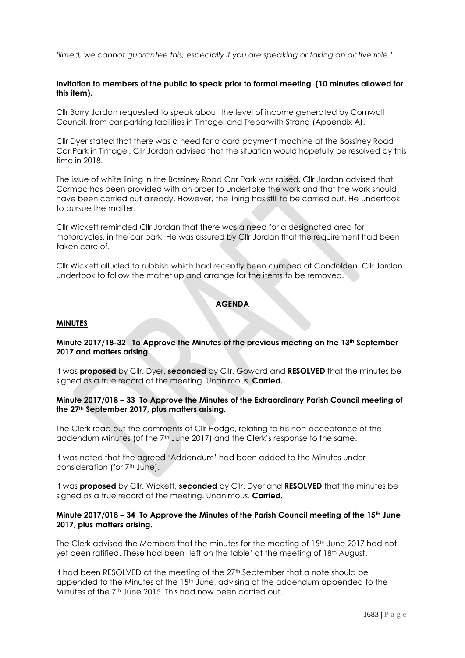*filmed, we cannot guarantee this, especially if you are speaking or taking an active role.'*

## **Invitation to members of the public to speak prior to formal meeting, (10 minutes allowed for this item).**

Cllr Barry Jordan requested to speak about the level of income generated by Cornwall Council, from car parking facilities in Tintagel and Trebarwith Strand (Appendix A).

Cllr Dyer stated that there was a need for a card payment machine at the Bossiney Road Car Park in Tintagel. Cllr Jordan advised that the situation would hopefully be resolved by this time in 2018.

The issue of white lining in the Bossiney Road Car Park was raised. Cllr Jordan advised that Cormac has been provided with an order to undertake the work and that the work should have been carried out already. However, the lining has still to be carried out. He undertook to pursue the matter.

Cllr Wickett reminded Cllr Jordan that there was a need for a designated area for motorcycles, in the car park. He was assured by Cllr Jordan that the requirement had been taken care of.

Cllr Wickett alluded to rubbish which had recently been dumped at Condolden. Cllr Jordan undertook to follow the matter up and arrange for the items to be removed.

# **AGENDA**

#### **MINUTES**

# **Minute 2017/18-32 To Approve the Minutes of the previous meeting on the 13th September 2017 and matters arising.**

It was **proposed** by Cllr. Dyer, **seconded** by Cllr. Goward and **RESOLVED** that the minutes be signed as a true record of the meeting. Unanimous. **Carried.**

## **Minute 2017/018 – 33 To Approve the Minutes of the Extraordinary Parish Council meeting of the 27th September 2017, plus matters arising.**

The Clerk read out the comments of Cllr Hodge, relating to his non-acceptance of the addendum Minutes (of the 7<sup>th</sup> June 2017) and the Clerk's response to the same.

It was noted that the agreed 'Addendum' had been added to the Minutes under consideration (for 7<sup>th</sup> June).

It was **proposed** by Cllr. Wickett, **seconded** by Cllr. Dyer and **RESOLVED** that the minutes be signed as a true record of the meeting. Unanimous. **Carried.**

## **Minute 2017/018 – 34 To Approve the Minutes of the Parish Council meeting of the 15th June 2017, plus matters arising.**

The Clerk advised the Members that the minutes for the meeting of 15th June 2017 had not yet been ratified. These had been 'left on the table' at the meeting of 18th August.

It had been RESOLVED at the meeting of the 27<sup>th</sup> September that a note should be appended to the Minutes of the 15<sup>th</sup> June, advising of the addendum appended to the Minutes of the 7th June 2015. This had now been carried out.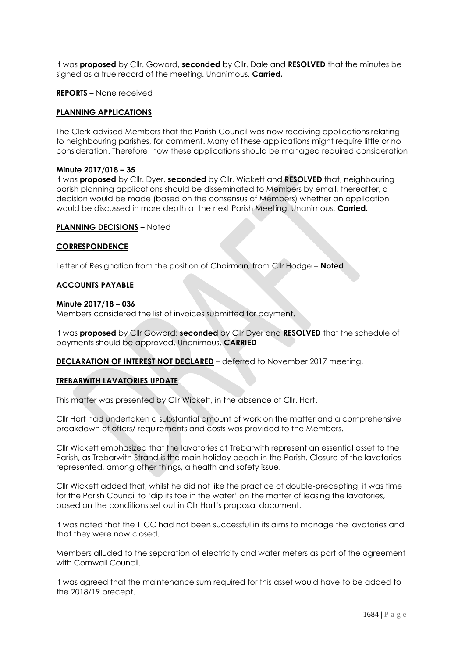It was **proposed** by Cllr. Goward, **seconded** by Cllr. Dale and **RESOLVED** that the minutes be signed as a true record of the meeting. Unanimous. **Carried.**

#### **REPORTS –** None received

## **PLANNING APPLICATIONS**

The Clerk advised Members that the Parish Council was now receiving applications relating to neighbouring parishes, for comment. Many of these applications might require little or no consideration. Therefore, how these applications should be managed required consideration

#### **Minute 2017/018 – 35**

It was **proposed** by Cllr. Dyer, **seconded** by Cllr. Wickett and **RESOLVED** that, neighbouring parish planning applications should be disseminated to Members by email, thereafter, a decision would be made (based on the consensus of Members) whether an application would be discussed in more depth at the next Parish Meeting. Unanimous. **Carried.**

#### **PLANNING DECISIONS –** Noted

#### **CORRESPONDENCE**

Letter of Resignation from the position of Chairman, from Cllr Hodge – **Noted**

#### **ACCOUNTS PAYABLE**

#### **Minute 2017/18 – 036**

Members considered the list of invoices submitted for payment.

It was **proposed** by Cllr Goward; **seconded** by Cllr Dyer and **RESOLVED** that the schedule of payments should be approved. Unanimous. **CARRIED**

**DECLARATION OF INTEREST NOT DECLARED** – deferred to November 2017 meeting.

## **TREBARWITH LAVATORIES UPDATE**

This matter was presented by Cllr Wickett, in the absence of Cllr. Hart.

Cllr Hart had undertaken a substantial amount of work on the matter and a comprehensive breakdown of offers/ requirements and costs was provided to the Members.

Cllr Wickett emphasized that the lavatories at Trebarwith represent an essential asset to the Parish, as Trebarwith Strand is the main holiday beach in the Parish. Closure of the lavatories represented, among other things, a health and safety issue.

Cllr Wickett added that, whilst he did not like the practice of double-precepting, it was time for the Parish Council to 'dip its toe in the water' on the matter of leasing the lavatories, based on the conditions set out in Cllr Hart's proposal document.

It was noted that the TTCC had not been successful in its aims to manage the lavatories and that they were now closed.

Members alluded to the separation of electricity and water meters as part of the agreement with Cornwall Council.

It was agreed that the maintenance sum required for this asset would have to be added to the 2018/19 precept.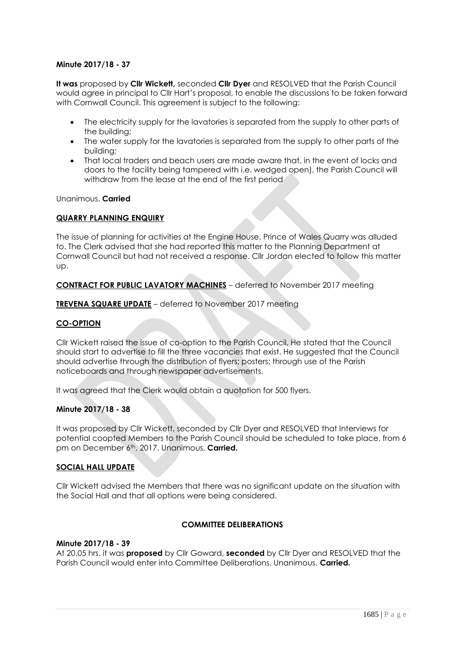## **Minute 2017/18 - 37**

**It was** proposed by **Cllr Wickett,** seconded **Cllr Dyer** and RESOLVED that the Parish Council would agree in principal to Cllr Hart's proposal, to enable the discussions to be taken forward with Cornwall Council. This agreement is subject to the following:

- The electricity supply for the lavatories is separated from the supply to other parts of the building;
- The water supply for the lavatories is separated from the supply to other parts of the building;
- That local traders and beach users are made aware that, in the event of locks and doors to the facility being tampered with i.e. wedged open), the Parish Council will withdraw from the lease at the end of the first period

Unanimous. **Carried**

## **QUARRY PLANNING ENQUIRY**

The issue of planning for activities at the Engine House, Prince of Wales Quarry was alluded to. The Clerk advised that she had reported this matter to the Planning Department at Cornwall Council but had not received a response. Cllr Jordan elected to follow this matter up.

# **CONTRACT FOR PUBLIC LAVATORY MACHINES** – deferred to November 2017 meeting

**TREVENA SQUARE UPDATE** – deferred to November 2017 meeting

# **CO-OPTION**

Cllr Wickett raised the issue of co-option to the Parish Council. He stated that the Council should start to advertise to fill the three vacancies that exist. He suggested that the Council should advertise through the distribution of flyers; posters; through use of the Parish noticeboards and through newspaper advertisements.

It was agreed that the Clerk would obtain a quotation for 500 flyers.

## **Minute 2017/18 - 38**

It was proposed by Cllr Wickett, seconded by Cllr Dyer and RESOLVED that Interviews for potential coopted Members to the Parish Council should be scheduled to take place, from 6 pm on December 6th, 2017. Unanimous. **Carried.**

## **SOCIAL HALL UPDATE**

Cllr Wickett advised the Members that there was no significant update on the situation with the Social Hall and that all options were being considered.

## **COMMITTEE DELIBERATIONS**

#### **Minute 2017/18 - 39**

At 20.05 hrs. it was **proposed** by Cllr Goward, **seconded** by Cllr Dyer and RESOLVED that the Parish Council would enter into Committee Deliberations. Unanimous. **Carried.**